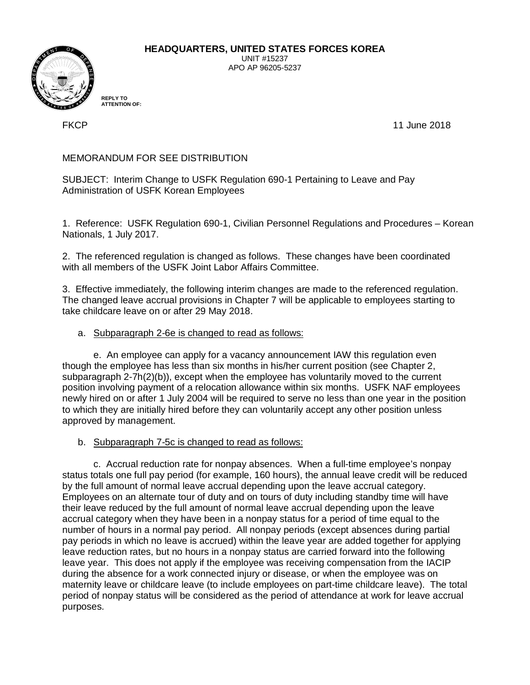

**HEADQUARTERS, UNITED STATES FORCES KOREA**

UNIT #15237 APO AP 96205-5237

**REPLY TO ATTENTION OF:**

FKCP 11 June 2018

# MEMORANDUM FOR SEE DISTRIBUTION

SUBJECT: Interim Change to USFK Regulation 690-1 Pertaining to Leave and Pay Administration of USFK Korean Employees

1. Reference: USFK Regulation 690-1, Civilian Personnel Regulations and Procedures – Korean Nationals, 1 July 2017.

2. The referenced regulation is changed as follows. These changes have been coordinated with all members of the USFK Joint Labor Affairs Committee.

3. Effective immediately, the following interim changes are made to the referenced regulation. The changed leave accrual provisions in Chapter 7 will be applicable to employees starting to take childcare leave on or after 29 May 2018.

# a. Subparagraph 2-6e is changed to read as follows:

e. An employee can apply for a vacancy announcement IAW this regulation even though the employee has less than six months in his/her current position (see Chapter 2, subparagraph 2-7h(2)(b)), except when the employee has voluntarily moved to the current position involving payment of a relocation allowance within six months. USFK NAF employees newly hired on or after 1 July 2004 will be required to serve no less than one year in the position to which they are initially hired before they can voluntarily accept any other position unless approved by management.

b. Subparagraph 7-5c is changed to read as follows:

c. Accrual reduction rate for nonpay absences. When a full-time employee's nonpay status totals one full pay period (for example, 160 hours), the annual leave credit will be reduced by the full amount of normal leave accrual depending upon the leave accrual category. Employees on an alternate tour of duty and on tours of duty including standby time will have their leave reduced by the full amount of normal leave accrual depending upon the leave accrual category when they have been in a nonpay status for a period of time equal to the number of hours in a normal pay period. All nonpay periods (except absences during partial pay periods in which no leave is accrued) within the leave year are added together for applying leave reduction rates, but no hours in a nonpay status are carried forward into the following leave year. This does not apply if the employee was receiving compensation from the IACIP during the absence for a work connected injury or disease, or when the employee was on maternity leave or childcare leave (to include employees on part-time childcare leave). The total period of nonpay status will be considered as the period of attendance at work for leave accrual purposes.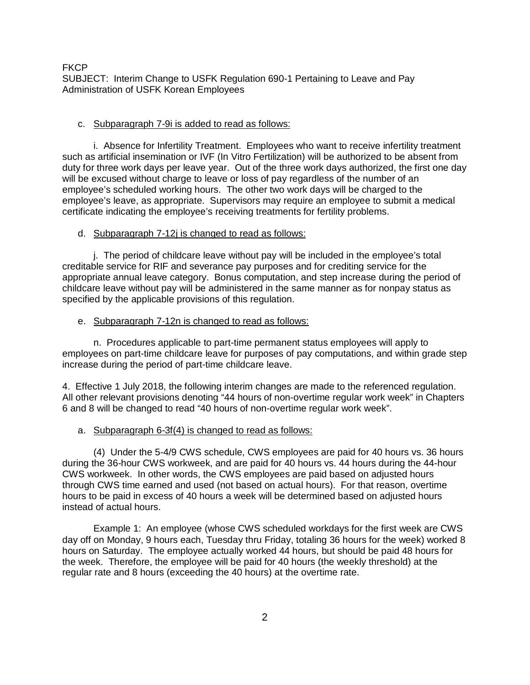# c. Subparagraph 7-9i is added to read as follows:

i. Absence for Infertility Treatment. Employees who want to receive infertility treatment such as artificial insemination or IVF (In Vitro Fertilization) will be authorized to be absent from duty for three work days per leave year. Out of the three work days authorized, the first one day will be excused without charge to leave or loss of pay regardless of the number of an employee's scheduled working hours. The other two work days will be charged to the employee's leave, as appropriate. Supervisors may require an employee to submit a medical certificate indicating the employee's receiving treatments for fertility problems.

# d. Subparagraph 7-12j is changed to read as follows:

j. The period of childcare leave without pay will be included in the employee's total creditable service for RIF and severance pay purposes and for crediting service for the appropriate annual leave category. Bonus computation, and step increase during the period of childcare leave without pay will be administered in the same manner as for nonpay status as specified by the applicable provisions of this regulation.

## e. Subparagraph 7-12n is changed to read as follows:

n. Procedures applicable to part-time permanent status employees will apply to employees on part-time childcare leave for purposes of pay computations, and within grade step increase during the period of part-time childcare leave.

4. Effective 1 July 2018, the following interim changes are made to the referenced regulation. All other relevant provisions denoting "44 hours of non-overtime regular work week" in Chapters 6 and 8 will be changed to read "40 hours of non-overtime regular work week".

#### a. Subparagraph 6-3f(4) is changed to read as follows:

(4) Under the 5-4/9 CWS schedule, CWS employees are paid for 40 hours vs. 36 hours during the 36-hour CWS workweek, and are paid for 40 hours vs. 44 hours during the 44-hour CWS workweek. In other words, the CWS employees are paid based on adjusted hours through CWS time earned and used (not based on actual hours). For that reason, overtime hours to be paid in excess of 40 hours a week will be determined based on adjusted hours instead of actual hours.

Example 1: An employee (whose CWS scheduled workdays for the first week are CWS day off on Monday, 9 hours each, Tuesday thru Friday, totaling 36 hours for the week) worked 8 hours on Saturday. The employee actually worked 44 hours, but should be paid 48 hours for the week. Therefore, the employee will be paid for 40 hours (the weekly threshold) at the regular rate and 8 hours (exceeding the 40 hours) at the overtime rate.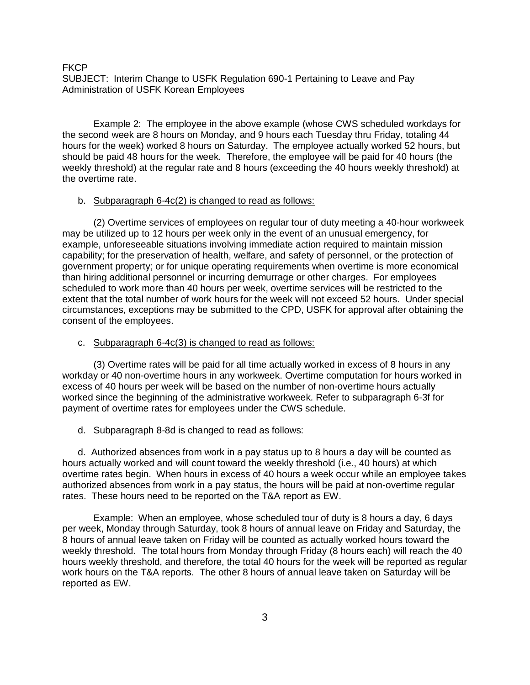Example 2: The employee in the above example (whose CWS scheduled workdays for the second week are 8 hours on Monday, and 9 hours each Tuesday thru Friday, totaling 44 hours for the week) worked 8 hours on Saturday. The employee actually worked 52 hours, but should be paid 48 hours for the week. Therefore, the employee will be paid for 40 hours (the weekly threshold) at the regular rate and 8 hours (exceeding the 40 hours weekly threshold) at the overtime rate.

### b. Subparagraph 6-4c(2) is changed to read as follows:

(2) Overtime services of employees on regular tour of duty meeting a 40-hour workweek may be utilized up to 12 hours per week only in the event of an unusual emergency, for example, unforeseeable situations involving immediate action required to maintain mission capability; for the preservation of health, welfare, and safety of personnel, or the protection of government property; or for unique operating requirements when overtime is more economical than hiring additional personnel or incurring demurrage or other charges. For employees scheduled to work more than 40 hours per week, overtime services will be restricted to the extent that the total number of work hours for the week will not exceed 52 hours. Under special circumstances, exceptions may be submitted to the CPD, USFK for approval after obtaining the consent of the employees.

### c. Subparagraph 6-4c(3) is changed to read as follows:

(3) Overtime rates will be paid for all time actually worked in excess of 8 hours in any workday or 40 non-overtime hours in any workweek. Overtime computation for hours worked in excess of 40 hours per week will be based on the number of non-overtime hours actually worked since the beginning of the administrative workweek. Refer to subparagraph 6-3f for payment of overtime rates for employees under the CWS schedule.

#### d. Subparagraph 8-8d is changed to read as follows:

d. Authorized absences from work in a pay status up to 8 hours a day will be counted as hours actually worked and will count toward the weekly threshold (i.e., 40 hours) at which overtime rates begin. When hours in excess of 40 hours a week occur while an employee takes authorized absences from work in a pay status, the hours will be paid at non-overtime regular rates. These hours need to be reported on the T&A report as EW.

Example: When an employee, whose scheduled tour of duty is 8 hours a day, 6 days per week, Monday through Saturday, took 8 hours of annual leave on Friday and Saturday, the 8 hours of annual leave taken on Friday will be counted as actually worked hours toward the weekly threshold. The total hours from Monday through Friday (8 hours each) will reach the 40 hours weekly threshold, and therefore, the total 40 hours for the week will be reported as regular work hours on the T&A reports. The other 8 hours of annual leave taken on Saturday will be reported as EW.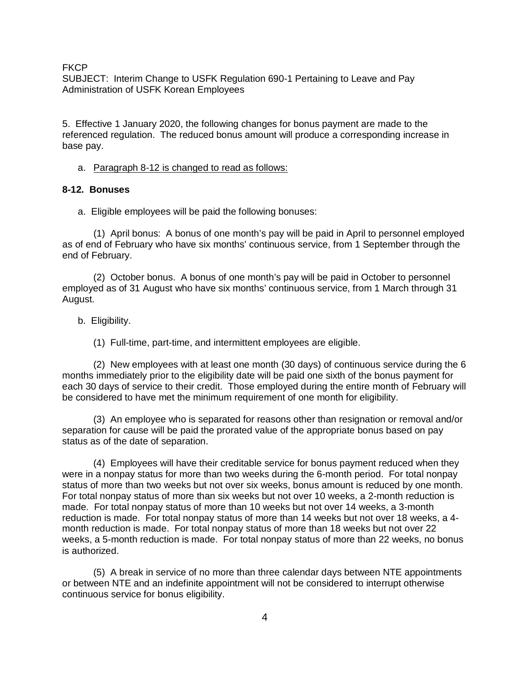**FKCP** 

SUBJECT: Interim Change to USFK Regulation 690-1 Pertaining to Leave and Pay Administration of USFK Korean Employees

5. Effective 1 January 2020, the following changes for bonus payment are made to the referenced regulation. The reduced bonus amount will produce a corresponding increase in base pay.

a. Paragraph 8-12 is changed to read as follows:

# **8-12. Bonuses**

a. Eligible employees will be paid the following bonuses:

(1) April bonus: A bonus of one month's pay will be paid in April to personnel employed as of end of February who have six months' continuous service, from 1 September through the end of February.

(2) October bonus. A bonus of one month's pay will be paid in October to personnel employed as of 31 August who have six months' continuous service, from 1 March through 31 August.

b. Eligibility.

(1) Full-time, part-time, and intermittent employees are eligible.

(2) New employees with at least one month (30 days) of continuous service during the 6 months immediately prior to the eligibility date will be paid one sixth of the bonus payment for each 30 days of service to their credit. Those employed during the entire month of February will be considered to have met the minimum requirement of one month for eligibility.

(3) An employee who is separated for reasons other than resignation or removal and/or separation for cause will be paid the prorated value of the appropriate bonus based on pay status as of the date of separation.

(4) Employees will have their creditable service for bonus payment reduced when they were in a nonpay status for more than two weeks during the 6-month period. For total nonpay status of more than two weeks but not over six weeks, bonus amount is reduced by one month. For total nonpay status of more than six weeks but not over 10 weeks, a 2-month reduction is made. For total nonpay status of more than 10 weeks but not over 14 weeks, a 3-month reduction is made. For total nonpay status of more than 14 weeks but not over 18 weeks, a 4 month reduction is made. For total nonpay status of more than 18 weeks but not over 22 weeks, a 5-month reduction is made. For total nonpay status of more than 22 weeks, no bonus is authorized.

(5) A break in service of no more than three calendar days between NTE appointments or between NTE and an indefinite appointment will not be considered to interrupt otherwise continuous service for bonus eligibility.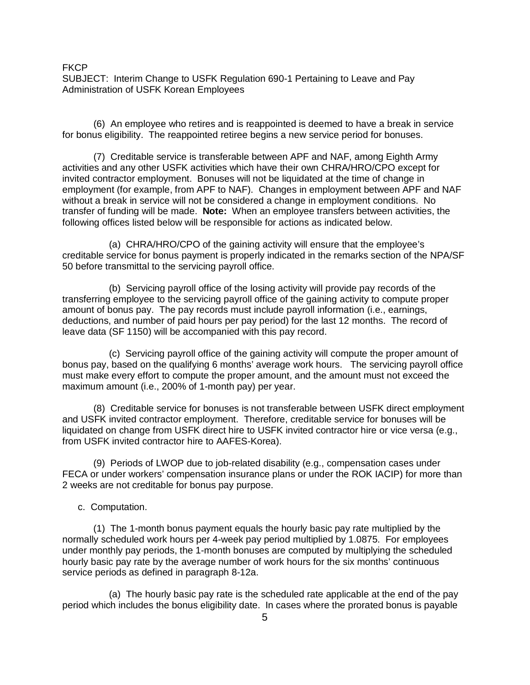**FKCP** 

SUBJECT: Interim Change to USFK Regulation 690-1 Pertaining to Leave and Pay Administration of USFK Korean Employees

(6) An employee who retires and is reappointed is deemed to have a break in service for bonus eligibility. The reappointed retiree begins a new service period for bonuses.

(7) Creditable service is transferable between APF and NAF, among Eighth Army activities and any other USFK activities which have their own CHRA/HRO/CPO except for invited contractor employment. Bonuses will not be liquidated at the time of change in employment (for example, from APF to NAF). Changes in employment between APF and NAF without a break in service will not be considered a change in employment conditions. No transfer of funding will be made. **Note:** When an employee transfers between activities, the following offices listed below will be responsible for actions as indicated below.

(a) CHRA/HRO/CPO of the gaining activity will ensure that the employee's creditable service for bonus payment is properly indicated in the remarks section of the NPA/SF 50 before transmittal to the servicing payroll office.

(b) Servicing payroll office of the losing activity will provide pay records of the transferring employee to the servicing payroll office of the gaining activity to compute proper amount of bonus pay. The pay records must include payroll information (i.e., earnings, deductions, and number of paid hours per pay period) for the last 12 months. The record of leave data (SF 1150) will be accompanied with this pay record.

(c) Servicing payroll office of the gaining activity will compute the proper amount of bonus pay, based on the qualifying 6 months' average work hours. The servicing payroll office must make every effort to compute the proper amount, and the amount must not exceed the maximum amount (i.e., 200% of 1-month pay) per year.

(8) Creditable service for bonuses is not transferable between USFK direct employment and USFK invited contractor employment. Therefore, creditable service for bonuses will be liquidated on change from USFK direct hire to USFK invited contractor hire or vice versa (e.g., from USFK invited contractor hire to AAFES-Korea).

(9) Periods of LWOP due to job-related disability (e.g., compensation cases under FECA or under workers' compensation insurance plans or under the ROK IACIP) for more than 2 weeks are not creditable for bonus pay purpose.

c. Computation.

(1) The 1-month bonus payment equals the hourly basic pay rate multiplied by the normally scheduled work hours per 4-week pay period multiplied by 1.0875. For employees under monthly pay periods, the 1-month bonuses are computed by multiplying the scheduled hourly basic pay rate by the average number of work hours for the six months' continuous service periods as defined in paragraph 8-12a.

(a) The hourly basic pay rate is the scheduled rate applicable at the end of the pay period which includes the bonus eligibility date. In cases where the prorated bonus is payable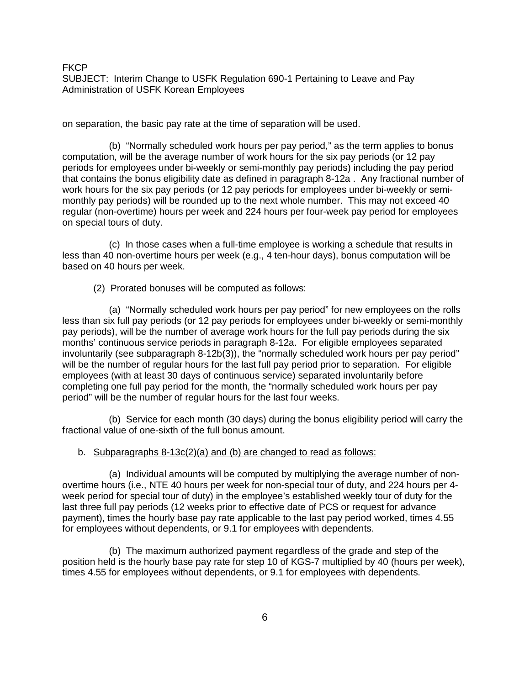on separation, the basic pay rate at the time of separation will be used.

(b) "Normally scheduled work hours per pay period," as the term applies to bonus computation, will be the average number of work hours for the six pay periods (or 12 pay periods for employees under bi-weekly or semi-monthly pay periods) including the pay period that contains the bonus eligibility date as defined in paragraph 8-12a . Any fractional number of work hours for the six pay periods (or 12 pay periods for employees under bi-weekly or semimonthly pay periods) will be rounded up to the next whole number. This may not exceed 40 regular (non-overtime) hours per week and 224 hours per four-week pay period for employees on special tours of duty.

(c) In those cases when a full-time employee is working a schedule that results in less than 40 non-overtime hours per week (e.g., 4 ten-hour days), bonus computation will be based on 40 hours per week.

(2) Prorated bonuses will be computed as follows:

(a) "Normally scheduled work hours per pay period" for new employees on the rolls less than six full pay periods (or 12 pay periods for employees under bi-weekly or semi-monthly pay periods), will be the number of average work hours for the full pay periods during the six months' continuous service periods in paragraph 8-12a. For eligible employees separated involuntarily (see subparagraph 8-12b(3)), the "normally scheduled work hours per pay period" will be the number of regular hours for the last full pay period prior to separation. For eligible employees (with at least 30 days of continuous service) separated involuntarily before completing one full pay period for the month, the "normally scheduled work hours per pay period" will be the number of regular hours for the last four weeks.

(b) Service for each month (30 days) during the bonus eligibility period will carry the fractional value of one-sixth of the full bonus amount.

## b. Subparagraphs 8-13c(2)(a) and (b) are changed to read as follows:

(a) Individual amounts will be computed by multiplying the average number of nonovertime hours (i.e., NTE 40 hours per week for non-special tour of duty, and 224 hours per 4 week period for special tour of duty) in the employee's established weekly tour of duty for the last three full pay periods (12 weeks prior to effective date of PCS or request for advance payment), times the hourly base pay rate applicable to the last pay period worked, times 4.55 for employees without dependents, or 9.1 for employees with dependents.

(b) The maximum authorized payment regardless of the grade and step of the position held is the hourly base pay rate for step 10 of KGS-7 multiplied by 40 (hours per week), times 4.55 for employees without dependents, or 9.1 for employees with dependents.